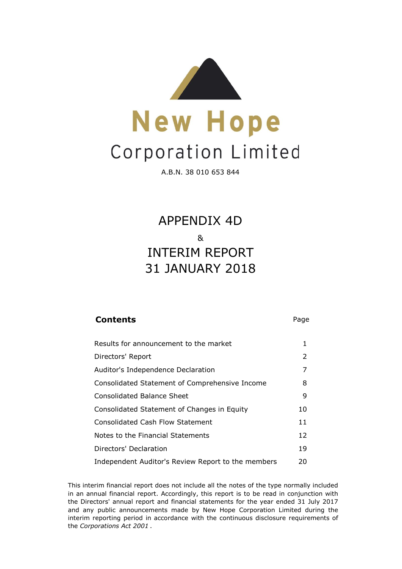

A.B.N. 38 010 653 844

31 JANUARY 2018 APPENDIX 4D & INTERIM REPORT

## **Contents** Page

| Results for announcement to the market             | 1  |
|----------------------------------------------------|----|
| Directors' Report                                  | 2  |
| Auditor's Independence Declaration                 | 7  |
| Consolidated Statement of Comprehensive Income     | 8  |
| Consolidated Balance Sheet                         | 9  |
| Consolidated Statement of Changes in Equity        | 10 |
| <b>Consolidated Cash Flow Statement</b>            | 11 |
| Notes to the Financial Statements                  | 12 |
| Directors' Declaration                             | 19 |
| Independent Auditor's Review Report to the members | 20 |

This interim financial report does not include all the notes of the type normally included in an annual financial report. Accordingly, this report is to be read in conjunction with the Directors' annual report and financial statements for the year ended 31 July 2017 and any public announcements made by New Hope Corporation Limited during the interim reporting period in accordance with the continuous disclosure requirements of the *Corporations Act 2001* .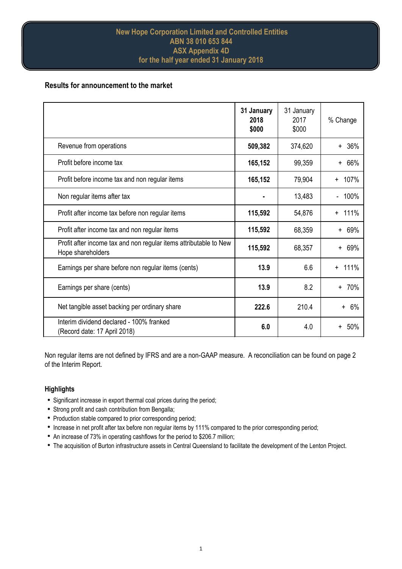# **Results for announcement to the market**

|                                                                                        | 31 January<br>2018<br>\$000 | 31 January<br>2017<br>\$000 | % Change          |
|----------------------------------------------------------------------------------------|-----------------------------|-----------------------------|-------------------|
| Revenue from operations                                                                | 509,382                     | 374,620                     | $+ 36%$           |
| Profit before income tax                                                               | 165,152                     | 99,359                      | 66%<br>$+$        |
| Profit before income tax and non regular items                                         | 165,152                     | 79,904                      | 107%<br>$\ddot{}$ |
| Non regular items after tax                                                            |                             | 13,483                      | 100%              |
| Profit after income tax before non regular items                                       | 115,592                     | 54,876                      | 111%<br>$+$       |
| Profit after income tax and non regular items                                          | 115,592                     | 68,359                      | 69%<br>$\ddot{}$  |
| Profit after income tax and non regular items attributable to New<br>Hope shareholders | 115,592                     | 68,357                      | 69%<br>$+$        |
| Earnings per share before non regular items (cents)                                    | 13.9                        | 6.6                         | 111%<br>$+$       |
| Earnings per share (cents)                                                             | 13.9                        | 8.2                         | 70%<br>$+$        |
| Net tangible asset backing per ordinary share                                          | 222.6                       | 210.4                       | $+ 6\%$           |
| Interim dividend declared - 100% franked<br>(Record date: 17 April 2018)               | 6.0                         | 4.0                         | 50%               |

Non regular items are not defined by IFRS and are a non-GAAP measure. A reconciliation can be found on page 2 of the Interim Report.

## **Highlights**

- Significant increase in export thermal coal prices during the period;
- Strong profit and cash contribution from Bengalla;
- Production stable compared to prior corresponding period;
- Increase in net profit after tax before non regular items by 111% compared to the prior corresponding period;
- An increase of 73% in operating cashflows for the period to \$206.7 million;
- The acquisition of Burton infrastructure assets in Central Queensland to facilitate the development of the Lenton Project.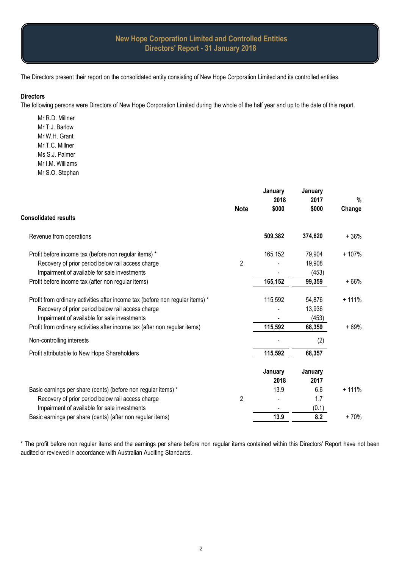The Directors present their report on the consolidated entity consisting of New Hope Corporation Limited and its controlled entities.

#### **Directors**

The following persons were Directors of New Hope Corporation Limited during the whole of the half year and up to the date of this report.

Mr R.D. Millner Mr T.J. Barlow Mr W.H. Grant Mr T.C. Millner Ms S.J. Palmer Mr I.M. Williams Mr S.O. Stephan

|                                                                               | <b>Note</b>    | January<br>2018<br>\$000 | January<br>2017<br>\$000 | %<br>Change |
|-------------------------------------------------------------------------------|----------------|--------------------------|--------------------------|-------------|
| <b>Consolidated results</b>                                                   |                |                          |                          |             |
| Revenue from operations                                                       |                | 509,382                  | 374,620                  | $+36%$      |
| Profit before income tax (before non regular items) *                         |                | 165,152                  | 79,904                   | $+107%$     |
| Recovery of prior period below rail access charge                             | $\overline{2}$ |                          | 19,908                   |             |
| Impairment of available for sale investments                                  |                |                          | (453)                    |             |
| Profit before income tax (after non regular items)                            |                | 165,152                  | 99,359                   | $+66%$      |
| Profit from ordinary activities after income tax (before non regular items) * |                | 115,592                  | 54,876                   | $+111%$     |
| Recovery of prior period below rail access charge                             |                |                          | 13,936                   |             |
| Impairment of available for sale investments                                  |                |                          | (453)                    |             |
| Profit from ordinary activities after income tax (after non regular items)    |                | 115,592                  | 68,359                   | $+69%$      |
| Non-controlling interests                                                     |                |                          | (2)                      |             |
| Profit attributable to New Hope Shareholders                                  |                | 115,592                  | 68,357                   |             |
|                                                                               |                | January                  | January                  |             |
|                                                                               |                | 2018                     | 2017                     |             |
| Basic earnings per share (cents) (before non regular items) *                 |                | 13.9                     | 6.6                      | $+111%$     |
| Recovery of prior period below rail access charge                             | $\overline{2}$ |                          | 1.7                      |             |
| Impairment of available for sale investments                                  |                |                          | (0.1)                    |             |
| Basic earnings per share (cents) (after non regular items)                    |                | 13.9                     | 8.2                      | $+70%$      |

\* The profit before non regular items and the earnings per share before non regular items contained within this Directors' Report have not been audited or reviewed in accordance with Australian Auditing Standards.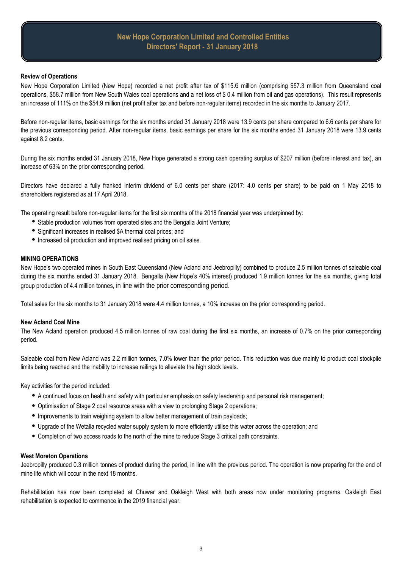#### **Review of Operations**

New Hope Corporation Limited (New Hope) recorded a net profit after tax of \$115.6 million (comprising \$57.3 million from Queensland coal operations, \$58.7 million from New South Wales coal operations and a net loss of \$ 0.4 million from oil and gas operations). This result represents an increase of 111% on the \$54.9 million (net profit after tax and before non-regular items) recorded in the six months to January 2017.

Before non-regular items, basic earnings for the six months ended 31 January 2018 were 13.9 cents per share compared to 6.6 cents per share for the previous corresponding period. After non-regular items, basic earnings per share for the six months ended 31 January 2018 were 13.9 cents against 8.2 cents.

During the six months ended 31 January 2018, New Hope generated a strong cash operating surplus of \$207 million (before interest and tax), an increase of 63% on the prior corresponding period.

Directors have declared a fully franked interim dividend of 6.0 cents per share (2017: 4.0 cents per share) to be paid on 1 May 2018 to shareholders registered as at 17 April 2018.

The operating result before non-regular items for the first six months of the 2018 financial year was underpinned by:

- Stable production volumes from operated sites and the Bengalla Joint Venture;
- Significant increases in realised \$A thermal coal prices; and
- Increased oil production and improved realised pricing on oil sales.

#### **MINING OPERATIONS**

New Hope's two operated mines in South East Queensland (New Acland and Jeebropilly) combined to produce 2.5 million tonnes of saleable coal during the six months ended 31 January 2018. Bengalla (New Hope's 40% interest) produced 1.9 million tonnes for the six months, giving total group production of 4.4 million tonnes, in line with the prior corresponding period.

Total sales for the six months to 31 January 2018 were 4.4 million tonnes, a 10% increase on the prior corresponding period.

#### **New Acland Coal Mine**

The New Acland operation produced 4.5 million tonnes of raw coal during the first six months, an increase of 0.7% on the prior corresponding period.

Saleable coal from New Acland was 2.2 million tonnes, 7.0% lower than the prior period. This reduction was due mainly to product coal stockpile limits being reached and the inability to increase railings to alleviate the high stock levels.

Key activities for the period included:

- A continued focus on health and safety with particular emphasis on safety leadership and personal risk management;
- Optimisation of Stage 2 coal resource areas with a view to prolonging Stage 2 operations;
- Improvements to train weighing system to allow better management of train payloads;
- i Upgrade of the Wetalla recycled water supply system to more efficiently utilise this water across the operation; and
- Completion of two access roads to the north of the mine to reduce Stage 3 critical path constraints.

#### **West Moreton Operations**

Jeebropilly produced 0.3 million tonnes of product during the period, in line with the previous period. The operation is now preparing for the end of mine life which will occur in the next 18 months.

Rehabilitation has now been completed at Chuwar and Oakleigh West with both areas now under monitoring programs. Oakleigh East rehabilitation is expected to commence in the 2019 financial year.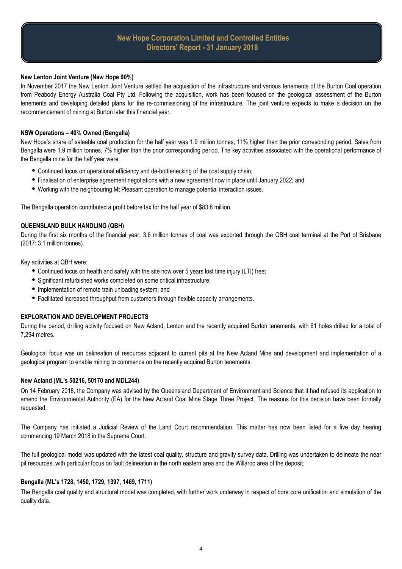#### **New Lenton Joint Venture (New Hope 90%)**

In November 2017 the New Lenton Joint Venture settled the acquisition of the infrastructure and various tenements of the Burton Coal operation from Peabody Energy Australia Coal Pty Ltd. Following the acquisition, work has been focused on the geological assessment of the Burton tenements and developing detailed plans for the re-commissioning of the infrastructure. The joint venture expects to make a decision on the recommencement of mining at Burton later this financial year.

#### **NSW Operations – 40% Owned (Bengalla)**

New Hope's share of saleable coal production for the half year was 1.9 million tonnes, 11% higher than the prior corresonding period. Sales from Bengalla were 1.9 million tonnes, 7% higher than the prior corresponding period. The key activities associated with the operational performance of the Bengalla mine for the half year were:

- Continued focus on operational efficiency and de-bottlenecking of the coal supply chain;
- Finalisation of enterprise agreement negotiations with a new agreement now in place until January 2022; and
- Working with the neighbouring Mt Pleasant operation to manage potential interaction issues.

The Bengalla operation contributed a profit before tax for the half year of \$83.8 million.

#### **QUEENSLAND BULK HANDLING (QBH)**

During the first six months of the financial year, 3.6 million tonnes of coal was exported through the QBH coal terminal at the Port of Brisbane (2017: 3.1 million tonnes).

Key activities at QBH were:

- Continued focus on health and safety with the site now over 5 years lost time injury (LTI) free;
- Significant refurbished works completed on some critical infrastructure;
- Implementation of remote train unloading system; and
- Facilitated increased throughput from customers through flexible capacity arrangements.

#### **EXPLORATION AND DEVELOPMENT PROJECTS**

During the period, drilling activity focused on New Acland, Lenton and the recently acquired Burton tenements, with 61 holes drilled for a total of 7,294 metres.

Geological focus was on delineation of resources adjacent to current pits at the New Acland Mine and development and implementation of a geological program to enable mining to commence on the recently acquired Burton tenements.

#### **New Acland (ML's 50216, 50170 and MDL244)**

On 14 February 2018, the Company was advised by the Queensland Department of Environment and Science that it had refused its application to amend the Environmental Authority (EA) for the New Acland Coal Mine Stage Three Project. The reasons for this decision have been formally requested.

The Company has initiated a Judicial Review of the Land Court recommendation. This matter has now been listed for a five day hearing commencing 19 March 2018 in the Supreme Court.

The full geological model was updated with the latest coal quality, structure and gravity survey data. Drilling was undertaken to delineate the near pit resources, with particular focus on fault delineation in the north eastern area and the Willaroo area of the deposit.

#### **Bengalla (ML's 1728, 1450, 1729, 1397, 1469, 1711)**

The Bengalla coal quality and structural model was completed, with further work underway in respect of bore core unification and simulation of the quality data.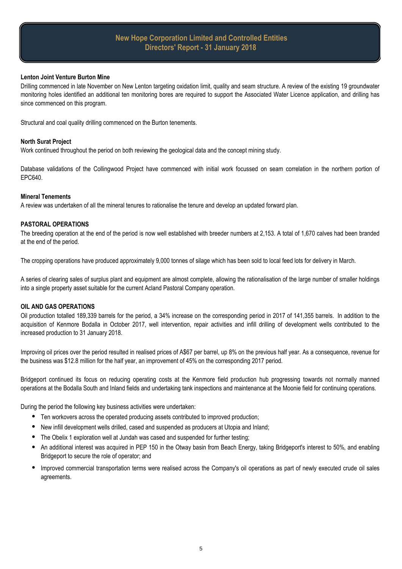#### **Lenton Joint Venture Burton Mine**

Drilling commenced in late November on New Lenton targeting oxidation limit, quality and seam structure. A review of the existing 19 groundwater monitoring holes identified an additional ten monitoring bores are required to support the Associated Water Licence application, and drilling has since commenced on this program.

Structural and coal quality drilling commenced on the Burton tenements.

#### **North Surat Project**

Work continued throughout the period on both reviewing the geological data and the concept mining study.

Database validations of the Collingwood Project have commenced with initial work focussed on seam correlation in the northern portion of EPC640.

#### **Mineral Tenements**

A review was undertaken of all the mineral tenures to rationalise the tenure and develop an updated forward plan.

#### **PASTORAL OPERATIONS**

The breeding operation at the end of the period is now well established with breeder numbers at 2,153. A total of 1,670 calves had been branded at the end of the period.

The cropping operations have produced approximately 9,000 tonnes of silage which has been sold to local feed lots for delivery in March.

A series of clearing sales of surplus plant and equipment are almost complete, allowing the rationalisation of the large number of smaller holdings into a single property asset suitable for the current Acland Pastoral Company operation.

#### **OIL AND GAS OPERATIONS**

Oil production totalled 189,339 barrels for the period, a 34% increase on the corresponding period in 2017 of 141,355 barrels. In addition to the acquisition of Kenmore Bodalla in October 2017, well intervention, repair activities and infill drilling of development wells contributed to the increased production to 31 January 2018.

Improving oil prices over the period resulted in realised prices of A\$67 per barrel, up 8% on the previous half year. As a consequence, revenue for the business was \$12.8 million for the half year, an improvement of 45% on the corresponding 2017 period.

Bridgeport continued its focus on reducing operating costs at the Kenmore field production hub progressing towards not normally manned operations at the Bodalla South and Inland fields and undertaking tank inspections and maintenance at the Moonie field for continuing operations.

During the period the following key business activities were undertaken:

- Ten workovers across the operated producing assets contributed to improved production;
- $\bullet$ New infill development wells drilled, cased and suspended as producers at Utopia and Inland;
- $\bullet$ The Obelix 1 exploration well at Jundah was cased and suspended for further testing;
- $\bullet$ An additional interest was acquired in PEP 150 in the Otway basin from Beach Energy, taking Bridgeport's interest to 50%, and enabling Bridgeport to secure the role of operator; and
- $\bullet$ Improved commercial transportation terms were realised across the Company's oil operations as part of newly executed crude oil sales agreements.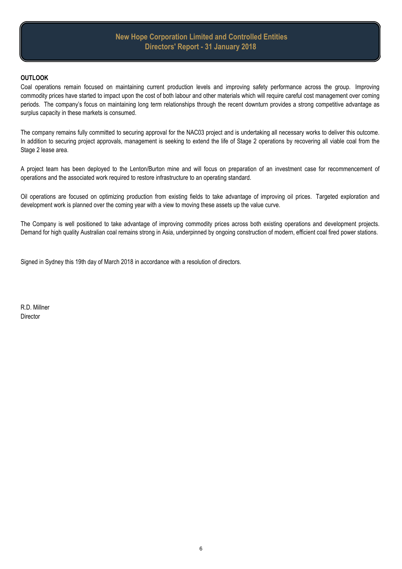#### **OUTLOOK**

Coal operations remain focused on maintaining current production levels and improving safety performance across the group. Improving commodity prices have started to impact upon the cost of both labour and other materials which will require careful cost management over coming periods. The company's focus on maintaining long term relationships through the recent downturn provides a strong competitive advantage as surplus capacity in these markets is consumed.

The company remains fully committed to securing approval for the NAC03 project and is undertaking all necessary works to deliver this outcome. In addition to securing project approvals, management is seeking to extend the life of Stage 2 operations by recovering all viable coal from the Stage 2 lease area.

A project team has been deployed to the Lenton/Burton mine and will focus on preparation of an investment case for recommencement of operations and the associated work required to restore infrastructure to an operating standard.

Oil operations are focused on optimizing production from existing fields to take advantage of improving oil prices. Targeted exploration and development work is planned over the coming year with a view to moving these assets up the value curve.

The Company is well positioned to take advantage of improving commodity prices across both existing operations and development projects. Demand for high quality Australian coal remains strong in Asia, underpinned by ongoing construction of modern, efficient coal fired power stations.

Signed in Sydney this 19th day of March 2018 in accordance with a resolution of directors.

R.D. Millner **Director**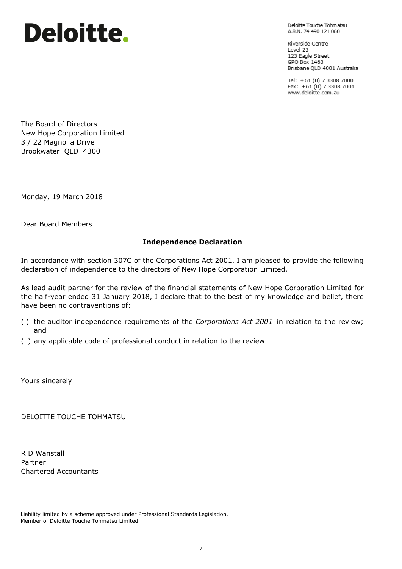# Deloitte.

Deloitte Touche Tohmatsu A.B.N. 74 490 121 060

Riverside Centre Level 23 123 Eagle Street GPO Box 1463 Brisbane QLD 4001 Australia

Tel: +61 (0) 7 3308 7000<br>Fax: +61 (0) 7 3308 7001 www.deloitte.com.au

The Board of Directors New Hope Corporation Limited 3 / 22 Magnolia Drive Brookwater QLD 4300

Monday, 19 March 2018

Dear Board Members

## **Independence Declaration**

In accordance with section 307C of the Corporations Act 2001, I am pleased to provide the following declaration of independence to the directors of New Hope Corporation Limited.

As lead audit partner for the review of the financial statements of New Hope Corporation Limited for the half-year ended 31 January 2018, I declare that to the best of my knowledge and belief, there have been no contraventions of:

- (i) the auditor independence requirements of the *Corporations Act 2001* in relation to the review; and
- (ii) any applicable code of professional conduct in relation to the review

Yours sincerely

DELOITTE TOUCHE TOHMATSU

R D Wanstall Partner Chartered Accountants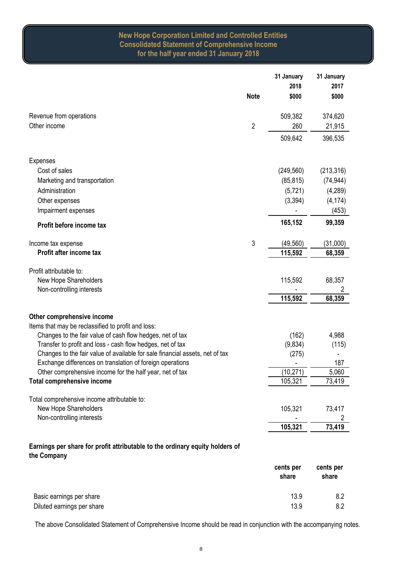# **New Hope Corporation Limited and Controlled Entities Consolidated Statement of Comprehensive Income for the half year ended 31 January 2018**

|                                                                                             |                | 31 January | 31 January |
|---------------------------------------------------------------------------------------------|----------------|------------|------------|
|                                                                                             |                | 2018       | 2017       |
|                                                                                             | <b>Note</b>    | \$000      | \$000      |
| Revenue from operations                                                                     |                | 509,382    | 374,620    |
| Other income                                                                                | $\overline{c}$ | 260        | 21,915     |
|                                                                                             |                | 509,642    | 396,535    |
| <b>Expenses</b>                                                                             |                |            |            |
| Cost of sales                                                                               |                | (249, 560) | (213, 316) |
| Marketing and transportation                                                                |                | (85, 815)  | (74, 944)  |
| Administration                                                                              |                | (5, 721)   | (4, 289)   |
| Other expenses                                                                              |                | (3, 394)   | (4, 174)   |
| Impairment expenses                                                                         |                |            | (453)      |
| Profit before income tax                                                                    |                | 165,152    | 99,359     |
| Income tax expense                                                                          | 3              | (49, 560)  | (31,000)   |
| Profit after income tax                                                                     |                | 115,592    | 68,359     |
| Profit attributable to:                                                                     |                |            |            |
| New Hope Shareholders                                                                       |                | 115,592    | 68,357     |
| Non-controlling interests                                                                   |                |            | 2          |
|                                                                                             |                | 115,592    | 68,359     |
| Other comprehensive income                                                                  |                |            |            |
| Items that may be reclassified to profit and loss:                                          |                |            |            |
| Changes to the fair value of cash flow hedges, net of tax                                   |                | (162)      | 4,988      |
| Transfer to profit and loss - cash flow hedges, net of tax                                  |                | (9,834)    | (115)      |
| Changes to the fair value of available for sale financial assets, net of tax                |                | (275)      |            |
| Exchange differences on translation of foreign operations                                   |                |            | 187        |
| Other comprehensive income for the half year, net of tax                                    |                | (10, 271)  | 5,060      |
| Total comprehensive income                                                                  |                | 105,321    | 73,419     |
| Total comprehensive income attributable to:                                                 |                |            |            |
| New Hope Shareholders                                                                       |                | 105,321    | 73,417     |
| Non-controlling interests                                                                   |                |            | 2          |
|                                                                                             |                | 105,321    | 73,419     |
| Earnings per share for profit attributable to the ordinary equity holders of<br>the Company |                |            |            |

|                            | cents per<br>share | cents per<br>share |
|----------------------------|--------------------|--------------------|
| Basic earnings per share   | 13.9               | 8.2                |
| Diluted earnings per share | 13.9               | 8.2                |

The above Consolidated Statement of Comprehensive Income should be read in conjunction with the accompanying notes.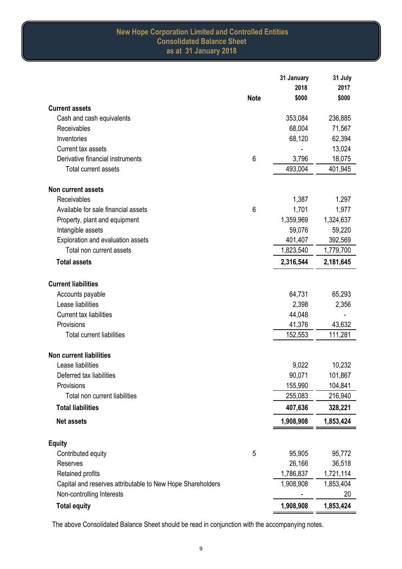# **New Hope Corporation Limited and Controlled Entities Consolidated Balance Sheet as at 31 January 2018**

|                                                            |             | 31 January | 31 July   |
|------------------------------------------------------------|-------------|------------|-----------|
|                                                            |             | 2018       | 2017      |
|                                                            | <b>Note</b> | \$000      | \$000     |
| <b>Current assets</b>                                      |             |            |           |
| Cash and cash equivalents                                  |             | 353,084    | 236,885   |
| Receivables                                                |             | 68,004     | 71,567    |
| Inventories                                                |             | 68,120     | 62,394    |
| Current tax assets                                         |             |            | 13,024    |
| Derivative financial instruments                           | 6           | 3,796      | 18,075    |
| Total current assets                                       |             | 493,004    | 401,945   |
|                                                            |             |            |           |
| <b>Non current assets</b>                                  |             |            |           |
| Receivables                                                |             | 1,387      | 1,297     |
| Available for sale financial assets                        | 6           | 1,701      | 1,977     |
| Property, plant and equipment                              |             | 1,359,969  | 1,324,637 |
| Intangible assets                                          |             | 59,076     | 59,220    |
| Exploration and evaluation assets                          |             | 401,407    | 392,569   |
| Total non current assets                                   |             | 1,823,540  | 1,779,700 |
| <b>Total assets</b>                                        |             | 2,316,544  | 2,181,645 |
| <b>Current liabilities</b>                                 |             |            |           |
| Accounts payable                                           |             | 64,731     | 65,293    |
| Lease liabilities                                          |             | 2,398      | 2,356     |
| <b>Current tax liabilities</b>                             |             | 44,048     |           |
| Provisions                                                 |             | 41,376     | 43,632    |
| <b>Total current liabilities</b>                           |             | 152,553    | 111,281   |
| <b>Non current liabilities</b>                             |             |            |           |
| Lease liabilities                                          |             | 9,022      | 10,232    |
| Deferred tax liabilities                                   |             | 90,071     | 101,867   |
| Provisions                                                 |             | 155,990    | 104,841   |
| Total non current liabilities                              |             | 255,083    | 216,940   |
| <b>Total liabilities</b>                                   |             | 407,636    | 328,221   |
| <b>Net assets</b>                                          |             | 1,908,908  | 1,853,424 |
| <b>Equity</b>                                              |             |            |           |
| Contributed equity                                         | 5           | 95,905     | 95,772    |
| Reserves                                                   |             | 26,166     | 36,518    |
| Retained profits                                           |             | 1,786,837  | 1,721,114 |
| Capital and reserves attributable to New Hope Shareholders |             | 1,908,908  | 1,853,404 |
| Non-controlling Interests                                  |             |            | 20        |
| <b>Total equity</b>                                        |             | 1,908,908  | 1,853,424 |

The above Consolidated Balance Sheet should be read in conjunction with the accompanying notes.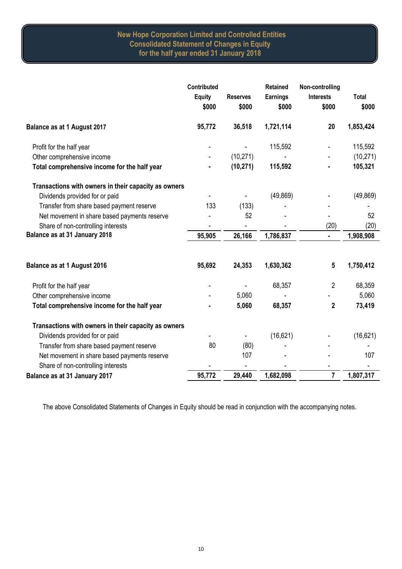# **New Hope Corporation Limited and Controlled Entities Consolidated Statement of Changes in Equity for the half year ended 31 January 2018**

|                                                      | Contributed            |                          | <b>Retained</b>          | Non-controlling           |                       |
|------------------------------------------------------|------------------------|--------------------------|--------------------------|---------------------------|-----------------------|
|                                                      | <b>Equity</b><br>\$000 | <b>Reserves</b><br>\$000 | <b>Earnings</b><br>\$000 | <b>Interests</b><br>\$000 | <b>Total</b><br>\$000 |
| Balance as at 1 August 2017                          | 95,772                 | 36,518                   | 1,721,114                | 20                        | 1,853,424             |
| Profit for the half year                             |                        |                          | 115,592                  |                           | 115,592               |
| Other comprehensive income                           |                        | (10, 271)                |                          |                           | (10, 271)             |
| Total comprehensive income for the half year         |                        | (10, 271)                | 115,592                  |                           | 105,321               |
| Transactions with owners in their capacity as owners |                        |                          |                          |                           |                       |
| Dividends provided for or paid                       |                        |                          | (49, 869)                |                           | (49, 869)             |
| Transfer from share based payment reserve            | 133                    | (133)                    |                          |                           |                       |
| Net movement in share based payments reserve         |                        | 52                       |                          | $\overline{\phantom{a}}$  | 52                    |
| Share of non-controlling interests                   |                        |                          |                          | (20)                      | (20)                  |
| Balance as at 31 January 2018                        | 95,905                 | 26,166                   | 1,786,837                | ä,                        | 1,908,908             |
| <b>Balance as at 1 August 2016</b>                   | 95,692                 | 24,353                   | 1,630,362                | 5                         | 1,750,412             |
| Profit for the half year                             |                        |                          | 68,357                   | $\overline{2}$            | 68,359                |
| Other comprehensive income                           |                        | 5,060                    |                          |                           | 5,060                 |
| Total comprehensive income for the half year         |                        | 5,060                    | 68,357                   | $\mathbf 2$               | 73,419                |
| Transactions with owners in their capacity as owners |                        |                          |                          |                           |                       |
| Dividends provided for or paid                       |                        |                          | (16, 621)                |                           | (16, 621)             |
| Transfer from share based payment reserve            | 80                     | (80)                     |                          |                           |                       |
| Net movement in share based payments reserve         |                        | 107                      |                          |                           | 107                   |
| Share of non-controlling interests                   |                        |                          |                          |                           |                       |
| Balance as at 31 January 2017                        | 95,772                 | 29,440                   | 1,682,098                | $\overline{\mathbf{r}}$   | 1,807,317             |

The above Consolidated Statements of Changes in Equity should be read in conjunction with the accompanying notes.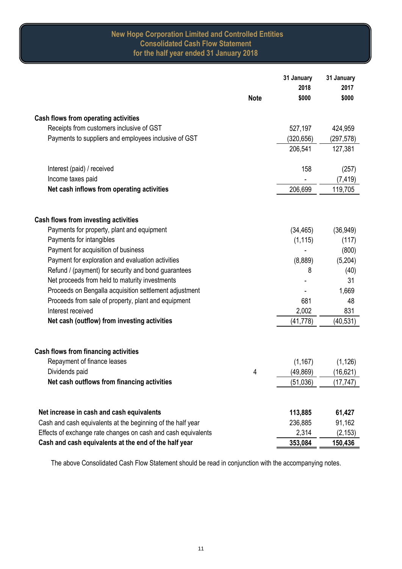# **New Hope Corporation Limited and Controlled Entities Consolidated Cash Flow Statement for the half year ended 31 January 2018**

|                                                               |             | 31 January | 31 January |
|---------------------------------------------------------------|-------------|------------|------------|
|                                                               |             | 2018       | 2017       |
|                                                               | <b>Note</b> | \$000      | \$000      |
| Cash flows from operating activities                          |             |            |            |
| Receipts from customers inclusive of GST                      |             | 527,197    | 424,959    |
| Payments to suppliers and employees inclusive of GST          |             | (320, 656) | (297,578)  |
|                                                               |             | 206,541    | 127,381    |
|                                                               |             |            |            |
| Interest (paid) / received                                    |             | 158        | (257)      |
| Income taxes paid                                             |             |            | (7, 419)   |
| Net cash inflows from operating activities                    |             | 206,699    | 119,705    |
|                                                               |             |            |            |
| Cash flows from investing activities                          |             |            |            |
| Payments for property, plant and equipment                    |             | (34, 465)  | (36, 949)  |
| Payments for intangibles                                      |             | (1, 115)   | (117)      |
| Payment for acquisition of business                           |             |            | (800)      |
| Payment for exploration and evaluation activities             |             | (8,889)    | (5,204)    |
| Refund / (payment) for security and bond guarantees           |             | 8          | (40)       |
| Net proceeds from held to maturity investments                |             |            | 31         |
| Proceeds on Bengalla acquisition settlement adjustment        |             |            | 1,669      |
| Proceeds from sale of property, plant and equipment           |             | 681        | 48         |
| Interest received                                             |             | 2,002      | 831        |
| Net cash (outflow) from investing activities                  |             | (41, 778)  | (40, 531)  |
|                                                               |             |            |            |
| Cash flows from financing activities                          |             |            |            |
| Repayment of finance leases                                   |             | (1, 167)   | (1, 126)   |
| Dividends paid                                                | 4           | (49, 869)  | (16, 621)  |
| Net cash outflows from financing activities                   |             | (51, 036)  | (17, 747)  |
|                                                               |             |            |            |
| Net increase in cash and cash equivalents                     |             | 113,885    | 61,427     |
| Cash and cash equivalents at the beginning of the half year   |             | 236,885    | 91,162     |
| Effects of exchange rate changes on cash and cash equivalents |             | 2,314      | (2, 153)   |
| Cash and cash equivalents at the end of the half year         |             | 353,084    | 150,436    |

The above Consolidated Cash Flow Statement should be read in conjunction with the accompanying notes.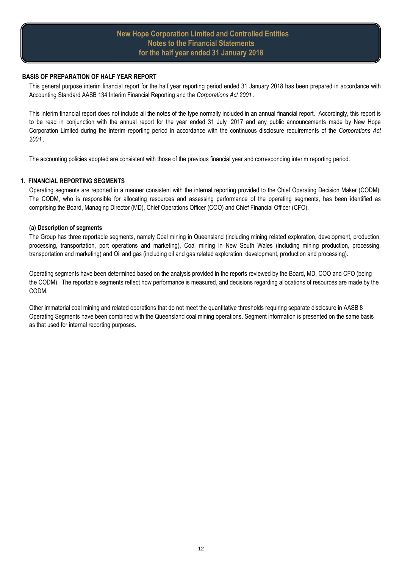# **New Hope Corporation Limited and Controlled Entities Notes to the Financial Statements for the half year ended 31 January 2018**

#### **BASIS OF PREPARATION OF HALF YEAR REPORT**

This general purpose interim financial report for the half year reporting period ended 31 January 2018 has been prepared in accordance with Accounting Standard AASB 134 Interim Financial Reporting and the *Corporations Act 2001* .

This interim financial report does not include all the notes of the type normally included in an annual financial report. Accordingly, this report is to be read in conjunction with the annual report for the year ended 31 July 2017 and any public announcements made by New Hope Corporation Limited during the interim reporting period in accordance with the continuous disclosure requirements of the *Corporations Act 2001* .

The accounting policies adopted are consistent with those of the previous financial year and corresponding interim reporting period.

## **1. FINANCIAL REPORTING SEGMENTS**

Operating segments are reported in a manner consistent with the internal reporting provided to the Chief Operating Decision Maker (CODM). The CODM, who is responsible for allocating resources and assessing performance of the operating segments, has been identified as comprising the Board, Managing Director (MD), Chief Operations Officer (COO) and Chief Financial Officer (CFO).

#### **(a) Description of segments**

The Group has three reportable segments, namely Coal mining in Queensland (including mining related exploration, development, production, processing, transportation, port operations and marketing), Coal mining in New South Wales (including mining production, processing, transportation and marketing) and Oil and gas (including oil and gas related exploration, development, production and processing).

Operating segments have been determined based on the analysis provided in the reports reviewed by the Board, MD, COO and CFO (being the CODM). The reportable segments reflect how performance is measured, and decisions regarding allocations of resources are made by the CODM.

Other immaterial coal mining and related operations that do not meet the quantitative thresholds requiring separate disclosure in AASB 8 Operating Segments have been combined with the Queensland coal mining operations. Segment information is presented on the same basis as that used for internal reporting purposes.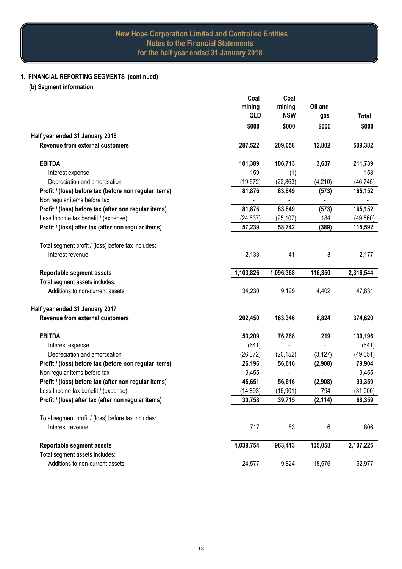# **1. FINANCIAL REPORTING SEGMENTS (continued)**

**(b) Segment information**

|                                                       | Coal<br>mining<br>QLD | Coal<br>mining<br><b>NSW</b> | Oil and<br>gas           | Total     |
|-------------------------------------------------------|-----------------------|------------------------------|--------------------------|-----------|
|                                                       | \$000                 | \$000                        | \$000                    | \$000     |
| Half year ended 31 January 2018                       |                       |                              |                          |           |
| Revenue from external customers                       | 287,522               | 209,058                      | 12,802                   | 509,382   |
| <b>EBITDA</b>                                         | 101,389               | 106,713                      | 3,637                    | 211,739   |
| Interest expense                                      | 159                   | (1)                          |                          | 158       |
| Depreciation and amortisation                         | (19, 672)             | (22, 863)                    | (4, 210)                 | (46, 745) |
| Profit / (loss) before tax (before non regular items) | 81,876                | 83,849                       | (573)                    | 165,152   |
| Non regular items before tax                          |                       |                              | $\overline{\phantom{0}}$ |           |
| Profit / (loss) before tax (after non regular items)  | 81,876                | 83,849                       | (573)                    | 165,152   |
| Less Income tax benefit / (expense)                   | (24, 637)             | (25, 107)                    | 184                      | (49, 560) |
| Profit / (loss) after tax (after non regular items)   | 57,239                | 58,742                       | (389)                    | 115,592   |
| Total segment profit / (loss) before tax includes:    |                       |                              |                          |           |
| Interest revenue                                      | 2,133                 | 41                           | 3                        | 2,177     |
| Reportable segment assets                             | 1,103,826             | 1,096,368                    | 116,350                  | 2,316,544 |
| Total segment assets includes:                        |                       |                              |                          |           |
| Additions to non-current assets                       | 34,230                | 9,199                        | 4,402                    | 47,831    |
| Half year ended 31 January 2017                       |                       |                              |                          |           |
| Revenue from external customers                       | 202,450               | 163,346                      | 8,824                    | 374,620   |
| <b>EBITDA</b>                                         | 53,209                | 76,768                       | 219                      | 130,196   |
| Interest expense                                      | (641)                 |                              |                          | (641)     |
| Depreciation and amortisation                         | (26, 372)             | (20, 152)                    | (3, 127)                 | (49, 651) |
| Profit / (loss) before tax (before non regular items) | 26,196                | 56,616                       | (2,908)                  | 79,904    |
| Non regular items before tax                          | 19,455                |                              |                          | 19,455    |
| Profit / (loss) before tax (after non regular items)  | 45,651                | 56,616                       | (2,908)                  | 99,359    |
| Less Income tax benefit / (expense)                   | (14, 893)             | (16, 901)                    | 794                      | (31,000)  |
| Profit / (loss) after tax (after non regular items)   | 30,758                | 39,715                       | (2, 114)                 | 68,359    |
| Total segment profit / (loss) before tax includes:    |                       |                              |                          |           |
| Interest revenue                                      | 717                   | 83                           | 6                        | 806       |
| <b>Reportable segment assets</b>                      | 1,038,754             | 963,413                      | 105,058                  | 2,107,225 |
| Total segment assets includes:                        |                       |                              |                          |           |
| Additions to non-current assets                       | 24,577                | 9,824                        | 18,576                   | 52,977    |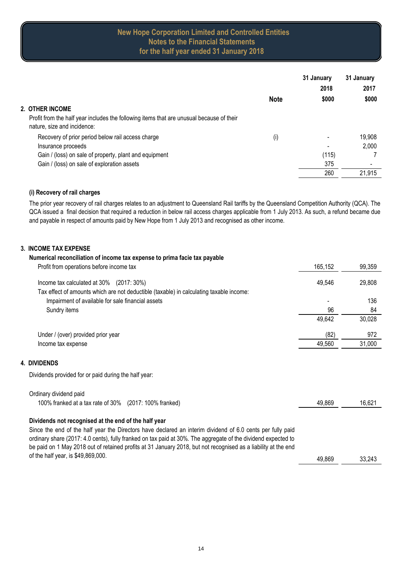# **New Hope Corporation Limited and Controlled Entities Notes to the Financial Statements for the half year ended 31 January 2018**

|                                                                                                                         |                   | 31 January | 31 January |
|-------------------------------------------------------------------------------------------------------------------------|-------------------|------------|------------|
|                                                                                                                         |                   | 2018       | 2017       |
|                                                                                                                         | <b>Note</b>       | \$000      | \$000      |
| 2. OTHER INCOME                                                                                                         |                   |            |            |
| Profit from the half year includes the following items that are unusual because of their<br>nature, size and incidence: |                   |            |            |
| Recovery of prior period below rail access charge                                                                       | $\left( i\right)$ |            | 19,908     |
| Insurance proceeds                                                                                                      |                   |            | 2,000      |
| Gain / (loss) on sale of property, plant and equipment                                                                  |                   | (115)      |            |
| Gain / (loss) on sale of exploration assets                                                                             |                   | 375        |            |
|                                                                                                                         |                   | 260        | 21,915     |

## **(i) Recovery of rail charges**

The prior year recovery of rail charges relates to an adjustment to Queensland Rail tariffs by the Queensland Competition Authority (QCA). The QCA issued a final decision that required a reduction in below rail access charges applicable from 1 July 2013. As such, a refund became due and payable in respect of amounts paid by New Hope from 1 July 2013 and recognised as other income.

# **3. INCOME TAX EXPENSE**

**4. DIVIDENDS**

| Numerical reconciliation of income tax expense to prima facie tax payable                                                                                                                                                                                                                                                                     |         |        |
|-----------------------------------------------------------------------------------------------------------------------------------------------------------------------------------------------------------------------------------------------------------------------------------------------------------------------------------------------|---------|--------|
| Profit from operations before income tax                                                                                                                                                                                                                                                                                                      | 165,152 | 99,359 |
| Income tax calculated at 30% (2017: 30%)                                                                                                                                                                                                                                                                                                      | 49,546  | 29,808 |
| Tax effect of amounts which are not deductible (taxable) in calculating taxable income:<br>Impairment of available for sale financial assets                                                                                                                                                                                                  |         | 136    |
| Sundry items                                                                                                                                                                                                                                                                                                                                  | 96      | 84     |
|                                                                                                                                                                                                                                                                                                                                               | 49,642  | 30,028 |
| Under / (over) provided prior year                                                                                                                                                                                                                                                                                                            | (82)    | 972    |
| Income tax expense                                                                                                                                                                                                                                                                                                                            | 49,560  | 31,000 |
| <b>DIVIDENDS</b>                                                                                                                                                                                                                                                                                                                              |         |        |
| Dividends provided for or paid during the half year:                                                                                                                                                                                                                                                                                          |         |        |
| Ordinary dividend paid                                                                                                                                                                                                                                                                                                                        |         |        |
| 100% franked at a tax rate of 30% (2017: 100% franked)                                                                                                                                                                                                                                                                                        | 49,869  | 16,621 |
| Dividends not recognised at the end of the half year                                                                                                                                                                                                                                                                                          |         |        |
| Since the end of the half year the Directors have declared an interim dividend of 6.0 cents per fully paid<br>ordinary share (2017: 4.0 cents), fully franked on tax paid at 30%. The aggregate of the dividend expected to<br>be paid on 1 May 2018 out of retained profits at 31 January 2018, but not recognised as a liability at the end |         |        |
| of the half year, is \$49,869,000.                                                                                                                                                                                                                                                                                                            | 49,869  | 33,243 |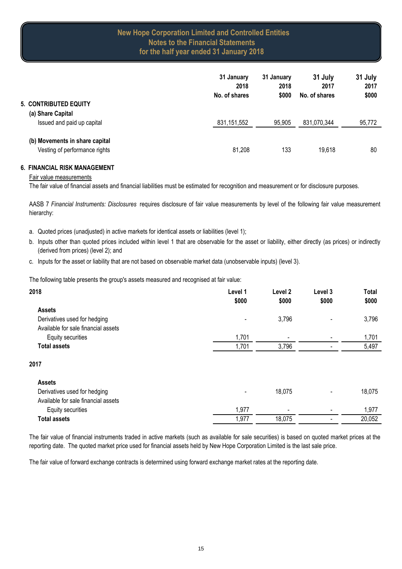|                                                                 | 31 January<br>2018<br>No. of shares | 31 January<br>2018<br>\$000 | 31 July<br>2017<br>No. of shares | 31 July<br>2017<br>\$000 |
|-----------------------------------------------------------------|-------------------------------------|-----------------------------|----------------------------------|--------------------------|
| <b>5. CONTRIBUTED EQUITY</b><br>(a) Share Capital               |                                     |                             |                                  |                          |
| Issued and paid up capital                                      | 831, 151, 552                       | 95,905                      | 831,070,344                      | 95,772                   |
| (b) Movements in share capital<br>Vesting of performance rights | 81,208                              | 133                         | 19,618                           | 80                       |

#### **6. FINANCIAL RISK MANAGEMENT**

#### Fair value measurements

The fair value of financial assets and financial liabilities must be estimated for recognition and measurement or for disclosure purposes.

AASB 7 *Financial Instruments: Disclosures* requires disclosure of fair value measurements by level of the following fair value measurement hierarchy:

- a. Quoted prices (unadjusted) in active markets for identical assets or liabilities (level 1);
- b. Inputs other than quoted prices included within level 1 that are observable for the asset or liability, either directly (as prices) or indirectly (derived from prices) (level 2); and
- c. Inputs for the asset or liability that are not based on observable market data (unobservable inputs) (level 3).

The following table presents the group's assets measured and recognised at fair value:

| 2018                                | Level 1                      | Level <sub>2</sub>       | Level 3                  | <b>Total</b> |
|-------------------------------------|------------------------------|--------------------------|--------------------------|--------------|
|                                     | \$000                        | \$000                    | \$000                    | \$000        |
| <b>Assets</b>                       |                              |                          |                          |              |
| Derivatives used for hedging        | $\qquad \qquad \blacksquare$ | 3,796                    |                          | 3,796        |
| Available for sale financial assets |                              |                          |                          |              |
| Equity securities                   | 1,701                        | $\overline{\phantom{a}}$ |                          | 1,701        |
| <b>Total assets</b>                 | 1,701                        | 3,796                    |                          | 5,497        |
| 2017                                |                              |                          |                          |              |
| <b>Assets</b>                       |                              |                          |                          |              |
| Derivatives used for hedging        | ٠                            | 18,075                   | $\overline{\phantom{a}}$ | 18,075       |
| Avoilable for agle financial assota |                              |                          |                          |              |

| Available for sale financial assets |      |                          |                          |        |
|-------------------------------------|------|--------------------------|--------------------------|--------|
| Equity securities                   | .977 | $\overline{\phantom{0}}$ | $\overline{\phantom{0}}$ | .977   |
| <b>Total assets</b>                 | .977 | 19 N75<br>0.UI J         | $\overline{\phantom{0}}$ | 20.052 |
|                                     |      |                          |                          |        |

The fair value of financial instruments traded in active markets (such as available for sale securities) is based on quoted market prices at the reporting date. The quoted market price used for financial assets held by New Hope Corporation Limited is the last sale price.

The fair value of forward exchange contracts is determined using forward exchange market rates at the reporting date.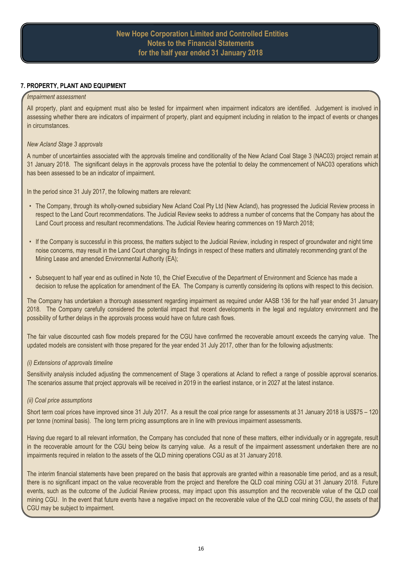#### **7. PROPERTY, PLANT AND EQUIPMENT**

#### *Impairment assessment*

All property, plant and equipment must also be tested for impairment when impairment indicators are identified. Judgement is involved in assessing whether there are indicators of impairment of property, plant and equipment including in relation to the impact of events or changes in circumstances.

#### *New Acland Stage 3 approvals*

A number of uncertainties associated with the approvals timeline and conditionality of the New Acland Coal Stage 3 (NAC03) project remain at 31 January 2018. The significant delays in the approvals process have the potential to delay the commencement of NAC03 operations which has been assessed to be an indicator of impairment.

In the period since 31 July 2017, the following matters are relevant:

- The Company, through its wholly-owned subsidiary New Acland Coal Pty Ltd (New Acland), has progressed the Judicial Review process in respect to the Land Court recommendations. The Judicial Review seeks to address a number of concerns that the Company has about the Land Court process and resultant recommendations. The Judicial Review hearing commences on 19 March 2018;
- If the Company is successful in this process, the matters subject to the Judicial Review, including in respect of groundwater and night time noise concerns, may result in the Land Court changing its findings in respect of these matters and ultimately recommending grant of the Mining Lease and amended Environmental Authority (EA);
- Subsequent to half year end as outlined in Note 10, the Chief Executive of the Department of Environment and Science has made a decision to refuse the application for amendment of the EA. The Company is currently considering its options with respect to this decision.

The Company has undertaken a thorough assessment regarding impairment as required under AASB 136 for the half year ended 31 January 2018. The Company carefully considered the potential impact that recent developments in the legal and regulatory environment and the possibility of further delays in the approvals process would have on future cash flows.

The fair value discounted cash flow models prepared for the CGU have confirmed the recoverable amount exceeds the carrying value. The updated models are consistent with those prepared for the year ended 31 July 2017, other than for the following adjustments:

## *(i) Extensions of approvals timeline*

Sensitivity analysis included adjusting the commencement of Stage 3 operations at Acland to reflect a range of possible approval scenarios. The scenarios assume that project approvals will be received in 2019 in the earliest instance, or in 2027 at the latest instance.

## *(ii) Coal price assumptions*

Short term coal prices have improved since 31 July 2017. As a result the coal price range for assessments at 31 January 2018 is US\$75 – 120 per tonne (nominal basis). The long term pricing assumptions are in line with previous impairment assessments.

Having due regard to all relevant information, the Company has concluded that none of these matters, either individually or in aggregate, result in the recoverable amount for the CGU being below its carrying value. As a result of the impairment assessment undertaken there are no impairments required in relation to the assets of the QLD mining operations CGU as at 31 January 2018.

The interim financial statements have been prepared on the basis that approvals are granted within a reasonable time period, and as a result, there is no significant impact on the value recoverable from the project and therefore the QLD coal mining CGU at 31 January 2018. Future events, such as the outcome of the Judicial Review process, may impact upon this assumption and the recoverable value of the QLD coal mining CGU. In the event that future events have a negative impact on the recoverable value of the QLD coal mining CGU, the assets of that CGU may be subject to impairment.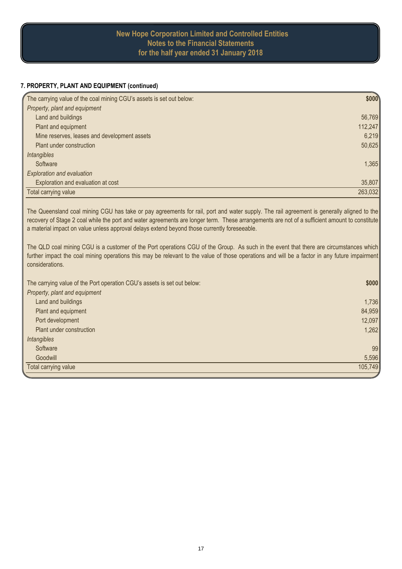# **New Hope Corporation Limited and Controlled Entities Notes to the Financial Statements for the half year ended 31 January 2018**

## **7. PROPERTY, PLANT AND EQUIPMENT (continued)**

| The carrying value of the coal mining CGU's assets is set out below: | \$000   |
|----------------------------------------------------------------------|---------|
| Property, plant and equipment                                        |         |
| Land and buildings                                                   | 56,769  |
| Plant and equipment                                                  | 112,247 |
| Mine reserves, leases and development assets                         | 6,219   |
| Plant under construction                                             | 50,625  |
| Intangibles                                                          |         |
| Software                                                             | 1,365   |
| <b>Exploration and evaluation</b>                                    |         |
| Exploration and evaluation at cost                                   | 35,807  |
| Total carrying value                                                 | 263,032 |

The Queensland coal mining CGU has take or pay agreements for rail, port and water supply. The rail agreement is generally aligned to the recovery of Stage 2 coal while the port and water agreements are longer term. These arrangements are not of a sufficient amount to constitute a material impact on value unless approval delays extend beyond those currently foreseeable.

The QLD coal mining CGU is a customer of the Port operations CGU of the Group. As such in the event that there are circumstances which further impact the coal mining operations this may be relevant to the value of those operations and will be a factor in any future impairment considerations.

| The carrying value of the Port operation CGU's assets is set out below: | \$000   |
|-------------------------------------------------------------------------|---------|
| Property, plant and equipment                                           |         |
| Land and buildings                                                      | 1,736   |
| Plant and equipment                                                     | 84,959  |
| Port development                                                        | 12,097  |
| Plant under construction                                                | 1,262   |
| Intangibles                                                             |         |
| Software                                                                | 99      |
| Goodwill                                                                | 5,596   |
| Total carrying value                                                    | 105,749 |
|                                                                         |         |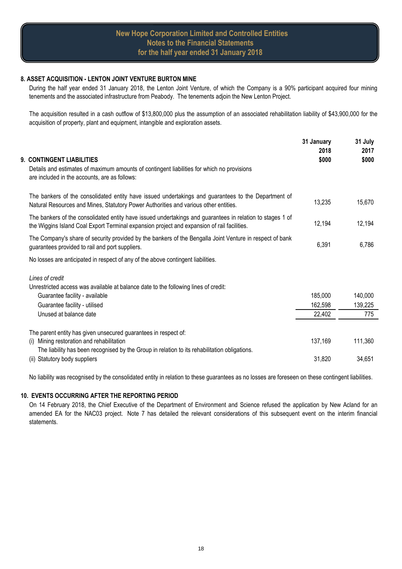#### **8. ASSET ACQUISITION - LENTON JOINT VENTURE BURTON MINE**

During the half year ended 31 January 2018, the Lenton Joint Venture, of which the Company is a 90% participant acquired four mining tenements and the associated infrastructure from Peabody. The tenements adjoin the New Lenton Project.

The acquisition resulted in a cash outflow of \$13,800,000 plus the assumption of an associated rehabilitation liability of \$43,900,000 for the acquisition of property, plant and equipment, intangible and exploration assets.

| <b>9. CONTINGENT LIABILITIES</b><br>Details and estimates of maximum amounts of contingent liabilities for which no provisions<br>are included in the accounts, are as follows:                          | 31 January<br>2018<br>\$000 | 31 July<br>2017<br>\$000 |
|----------------------------------------------------------------------------------------------------------------------------------------------------------------------------------------------------------|-----------------------------|--------------------------|
| The bankers of the consolidated entity have issued undertakings and guarantees to the Department of<br>Natural Resources and Mines, Statutory Power Authorities and various other entities.              | 13,235                      | 15,670                   |
| The bankers of the consolidated entity have issued undertakings and guarantees in relation to stages 1 of<br>the Wiggins Island Coal Export Terminal expansion project and expansion of rail facilities. | 12,194                      | 12,194                   |
| The Company's share of security provided by the bankers of the Bengalla Joint Venture in respect of bank<br>guarantees provided to rail and port suppliers.                                              | 6,391                       | 6,786                    |
| No losses are anticipated in respect of any of the above contingent liabilities.                                                                                                                         |                             |                          |
| Lines of credit<br>Unrestricted access was available at balance date to the following lines of credit:                                                                                                   |                             |                          |
| Guarantee facility - available                                                                                                                                                                           | 185,000                     | 140,000                  |
| Guarantee facility - utilised                                                                                                                                                                            | 162,598                     | 139,225                  |
| Unused at balance date                                                                                                                                                                                   | 22,402                      | 775                      |
| The parent entity has given unsecured guarantees in respect of:                                                                                                                                          |                             |                          |
| Mining restoration and rehabilitation<br>(i)                                                                                                                                                             | 137,169                     | 111,360                  |
| The liability has been recognised by the Group in relation to its rehabilitation obligations.<br>(ii) Statutory body suppliers                                                                           | 31,820                      | 34,651                   |
|                                                                                                                                                                                                          |                             |                          |

No liability was recognised by the consolidated entity in relation to these guarantees as no losses are foreseen on these contingent liabilities.

#### **10. EVENTS OCCURRING AFTER THE REPORTING PERIOD**

On 14 February 2018, the Chief Executive of the Department of Environment and Science refused the application by New Acland for an amended EA for the NAC03 project. Note 7 has detailed the relevant considerations of this subsequent event on the interim financial statements.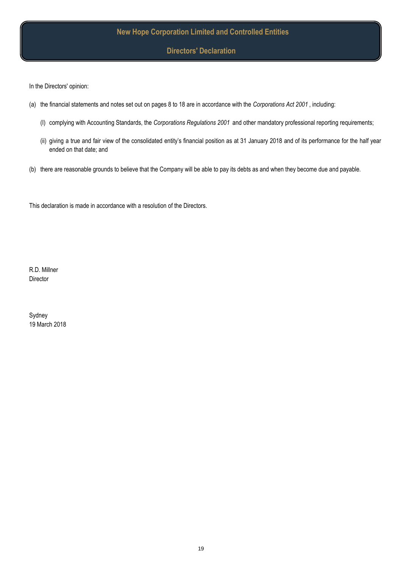**Directors' Declaration**

In the Directors' opinion:

- (a) the financial statements and notes set out on pages 8 to 18 are in accordance with the *Corporations Act 2001* , including:
	- (I) complying with Accounting Standards, the *Corporations Regulations 2001* and other mandatory professional reporting requirements;
	- (ii) giving a true and fair view of the consolidated entity's financial position as at 31 January 2018 and of its performance for the half year ended on that date; and
- (b) there are reasonable grounds to believe that the Company will be able to pay its debts as and when they become due and payable.

This declaration is made in accordance with a resolution of the Directors.

R.D. Millner Director

19 March 2018 Sydney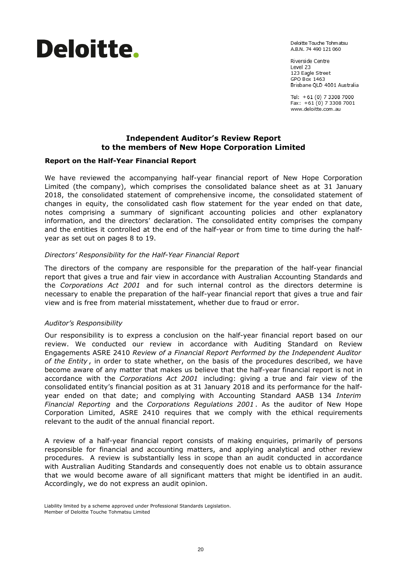# Deloitte.

Delaitte Touche Tohmatsu A.B.N. 74 490 121 060

Riverside Centre Level 23 123 Eagle Street GPO Box 1463 Brisbane QLD 4001 Australia

Tel: +61 (0) 7 3308 7000 Fax: +61 (0) 7 3308 7001 www.deloitte.com.au

# **Independent Auditor's Review Report to the members of New Hope Corporation Limited**

## **Report on the Half-Year Financial Report**

We have reviewed the accompanying half-year financial report of New Hope Corporation Limited (the company), which comprises the consolidated balance sheet as at 31 January 2018, the consolidated statement of comprehensive income, the consolidated statement of changes in equity, the consolidated cash flow statement for the year ended on that date, notes comprising a summary of significant accounting policies and other explanatory information, and the directors' declaration. The consolidated entity comprises the company and the entities it controlled at the end of the half-year or from time to time during the halfyear as set out on pages 8 to 19.

## *Directors' Responsibility for the Half-Year Financial Report*

The directors of the company are responsible for the preparation of the half-year financial report that gives a true and fair view in accordance with Australian Accounting Standards and the *Corporations Act 2001* and for such internal control as the directors determine is necessary to enable the preparation of the half-year financial report that gives a true and fair view and is free from material misstatement, whether due to fraud or error.

## *Auditor's Responsibility*

Our responsibility is to express a conclusion on the half-year financial report based on our review. We conducted our review in accordance with Auditing Standard on Review Engagements ASRE 2410 *Review of a Financial Report Performed by the Independent Auditor of the Entity* , in order to state whether, on the basis of the procedures described, we have become aware of any matter that makes us believe that the half-year financial report is not in accordance with the *Corporations Act 2001* including: giving a true and fair view of the consolidated entity's financial position as at 31 January 2018 and its performance for the halfyear ended on that date; and complying with Accounting Standard AASB 134 *Interim Financial Reporting* and the *Corporations Regulations 2001* . As the auditor of New Hope Corporation Limited, ASRE 2410 requires that we comply with the ethical requirements relevant to the audit of the annual financial report.

A review of a half-year financial report consists of making enquiries, primarily of persons responsible for financial and accounting matters, and applying analytical and other review procedures. A review is substantially less in scope than an audit conducted in accordance with Australian Auditing Standards and consequently does not enable us to obtain assurance that we would become aware of all significant matters that might be identified in an audit. Accordingly, we do not express an audit opinion.

Liability limited by a scheme approved under Professional Standards Legislation. Member of Deloitte Touche Tohmatsu Limited